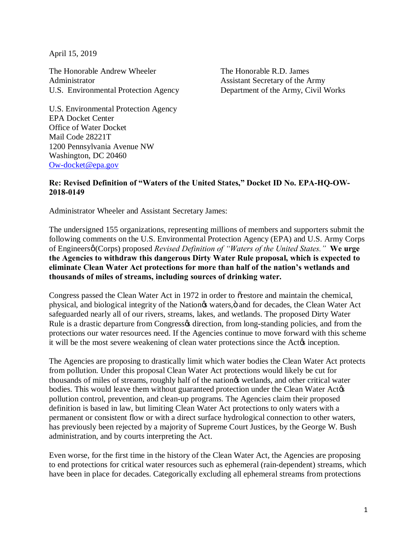April 15, 2019

The Honorable Andrew Wheeler Administrator U.S. Environmental Protection Agency The Honorable R.D. James Assistant Secretary of the Army Department of the Army, Civil Works

U.S. Environmental Protection Agency EPA Docket Center Office of Water Docket Mail Code 28221T 1200 Pennsylvania Avenue NW Washington, DC 20460 Ow-docket@epa.gov

## **Re: Revised Definition of "Waters of the United States," Docket ID No. EPA-HQ-OW-2018-0149**

Administrator Wheeler and Assistant Secretary James:

The undersigned 155 organizations, representing millions of members and supporters submit the following comments on the U.S. Environmental Protection Agency (EPA) and U.S. Army Corps of Engineers' (Corps) proposed *Revised Definition of "Waters of the United States."* **We urge the Agencies to withdraw this dangerous Dirty Water Rule proposal, which is expected to eliminate Clean Water Act protections for more than half of the nation's wetlands and thousands of miles of streams, including sources of drinking water.**

Congress passed the Clean Water Act in 1972 in order to orestore and maintain the chemical, physical, and biological integrity of the Nation $\alpha$  waters,  $\ddot{o}$  and for decades, the Clean Water Act safeguarded nearly all of our rivers, streams, lakes, and wetlands. The proposed Dirty Water Rule is a drastic departure from Congress odirection, from long-standing policies, and from the protections our water resources need. If the Agencies continue to move forward with this scheme it will be the most severe weakening of clean water protections since the Actom inception.

The Agencies are proposing to drastically limit which water bodies the Clean Water Act protects from pollution. Under this proposal Clean Water Act protections would likely be cut for thousands of miles of streams, roughly half of the nation $\alpha$  wetlands, and other critical water bodies. This would leave them without guaranteed protection under the Clean Water Actos pollution control, prevention, and clean-up programs. The Agencies claim their proposed definition is based in law, but limiting Clean Water Act protections to only waters with a permanent or consistent flow or with a direct surface hydrological connection to other waters, has previously been rejected by a majority of Supreme Court Justices, by the George W. Bush administration, and by courts interpreting the Act.

Even worse, for the first time in the history of the Clean Water Act, the Agencies are proposing to end protections for critical water resources such as ephemeral (rain-dependent) streams, which have been in place for decades. Categorically excluding all ephemeral streams from protections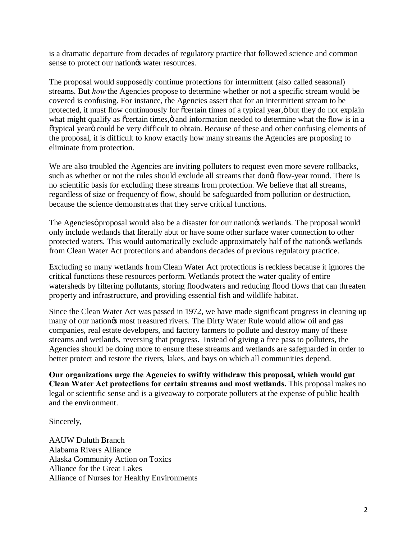is a dramatic departure from decades of regulatory practice that followed science and common sense to protect our nation $\alpha$  water resources.

The proposal would supposedly continue protections for intermittent (also called seasonal) streams. But *how* the Agencies propose to determine whether or not a specific stream would be covered is confusing. For instance, the Agencies assert that for an intermittent stream to be protected, it must flow continuously for  $\tilde{c}$  certain times of a typical year, $\ddot{o}$  but they do not explain what might qualify as  $\tilde{c}$  certain times, $\ddot{o}$  and information needed to determine what the flow is in a "typical year" could be very difficult to obtain. Because of these and other confusing elements of the proposal, it is difficult to know exactly how many streams the Agencies are proposing to eliminate from protection.

We are also troubled the Agencies are inviting polluters to request even more severe rollbacks, such as whether or not the rules should exclude all streams that dong flow-year round. There is no scientific basis for excluding these streams from protection. We believe that all streams, regardless of size or frequency of flow, should be safeguarded from pollution or destruction, because the science demonstrates that they serve critical functions.

The Agencies proposal would also be a disaster for our nation ts wetlands. The proposal would only include wetlands that literally abut or have some other surface water connection to other protected waters. This would automatically exclude approximately half of the nationgs wetlands from Clean Water Act protections and abandons decades of previous regulatory practice.

Excluding so many wetlands from Clean Water Act protections is reckless because it ignores the critical functions these resources perform. Wetlands protect the water quality of entire watersheds by filtering pollutants, storing floodwaters and reducing flood flows that can threaten property and infrastructure, and providing essential fish and wildlife habitat.

Since the Clean Water Act was passed in 1972, we have made significant progress in cleaning up many of our nation $\alpha$  most treasured rivers. The Dirty Water Rule would allow oil and gas companies, real estate developers, and factory farmers to pollute and destroy many of these streams and wetlands, reversing that progress. Instead of giving a free pass to polluters, the Agencies should be doing more to ensure these streams and wetlands are safeguarded in order to better protect and restore the rivers, lakes, and bays on which all communities depend.

**Our organizations urge the Agencies to swiftly withdraw this proposal, which would gut Clean Water Act protections for certain streams and most wetlands.** This proposal makes no legal or scientific sense and is a giveaway to corporate polluters at the expense of public health and the environment.

Sincerely,

AAUW Duluth Branch Alabama Rivers Alliance Alaska Community Action on Toxics Alliance for the Great Lakes Alliance of Nurses for Healthy Environments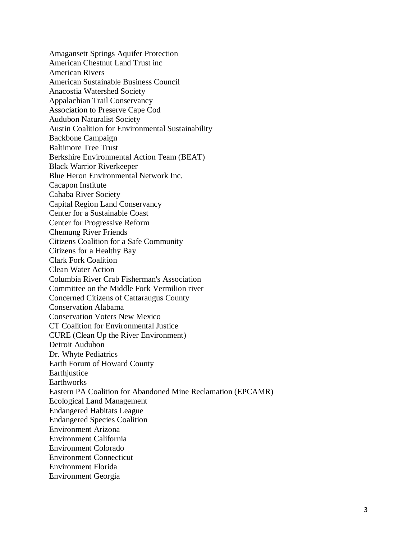Amagansett Springs Aquifer Protection American Chestnut Land Trust inc American Rivers American Sustainable Business Council Anacostia Watershed Society Appalachian Trail Conservancy Association to Preserve Cape Cod Audubon Naturalist Society Austin Coalition for Environmental Sustainability Backbone Campaign Baltimore Tree Trust Berkshire Environmental Action Team (BEAT) Black Warrior Riverkeeper Blue Heron Environmental Network Inc. Cacapon Institute Cahaba River Society Capital Region Land Conservancy Center for a Sustainable Coast Center for Progressive Reform Chemung River Friends Citizens Coalition for a Safe Community Citizens for a Healthy Bay Clark Fork Coalition Clean Water Action Columbia River Crab Fisherman's Association Committee on the Middle Fork Vermilion river Concerned Citizens of Cattaraugus County Conservation Alabama Conservation Voters New Mexico CT Coalition for Environmental Justice CURE (Clean Up the River Environment) Detroit Audubon Dr. Whyte Pediatrics Earth Forum of Howard County Earthjustice **Earthworks** Eastern PA Coalition for Abandoned Mine Reclamation (EPCAMR) Ecological Land Management Endangered Habitats League Endangered Species Coalition Environment Arizona Environment California Environment Colorado Environment Connecticut Environment Florida Environment Georgia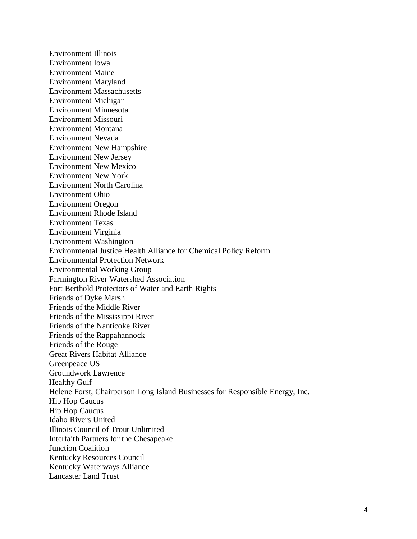Environment Illinois Environment Iowa Environment Maine Environment Maryland Environment Massachusetts Environment Michigan Environment Minnesota Environment Missouri Environment Montana Environment Nevada Environment New Hampshire Environment New Jersey Environment New Mexico Environment New York Environment North Carolina Environment Ohio Environment Oregon Environment Rhode Island Environment Texas Environment Virginia Environment Washington Environmental Justice Health Alliance for Chemical Policy Reform Environmental Protection Network Environmental Working Group Farmington River Watershed Association Fort Berthold Protectors of Water and Earth Rights Friends of Dyke Marsh Friends of the Middle River Friends of the Mississippi River Friends of the Nanticoke River Friends of the Rappahannock Friends of the Rouge Great Rivers Habitat Alliance Greenpeace US Groundwork Lawrence Healthy Gulf Helene Forst, Chairperson Long Island Businesses for Responsible Energy, Inc. Hip Hop Caucus Hip Hop Caucus Idaho Rivers United Illinois Council of Trout Unlimited Interfaith Partners for the Chesapeake Junction Coalition Kentucky Resources Council Kentucky Waterways Alliance Lancaster Land Trust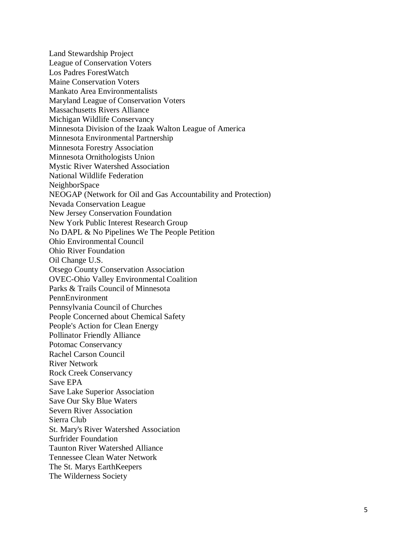Land Stewardship Project League of Conservation Voters Los Padres ForestWatch Maine Conservation Voters Mankato Area Environmentalists Maryland League of Conservation Voters Massachusetts Rivers Alliance Michigan Wildlife Conservancy Minnesota Division of the Izaak Walton League of America Minnesota Environmental Partnership Minnesota Forestry Association Minnesota Ornithologists Union Mystic River Watershed Association National Wildlife Federation NeighborSpace NEOGAP (Network for Oil and Gas Accountability and Protection) Nevada Conservation League New Jersey Conservation Foundation New York Public Interest Research Group No DAPL & No Pipelines We The People Petition Ohio Environmental Council Ohio River Foundation Oil Change U.S. Otsego County Conservation Association OVEC-Ohio Valley Environmental Coalition Parks & Trails Council of Minnesota PennEnvironment Pennsylvania Council of Churches People Concerned about Chemical Safety People's Action for Clean Energy Pollinator Friendly Alliance Potomac Conservancy Rachel Carson Council River Network Rock Creek Conservancy Save EPA Save Lake Superior Association Save Our Sky Blue Waters Severn River Association Sierra Club St. Mary's River Watershed Association Surfrider Foundation Taunton River Watershed Alliance Tennessee Clean Water Network The St. Marys EarthKeepers The Wilderness Society